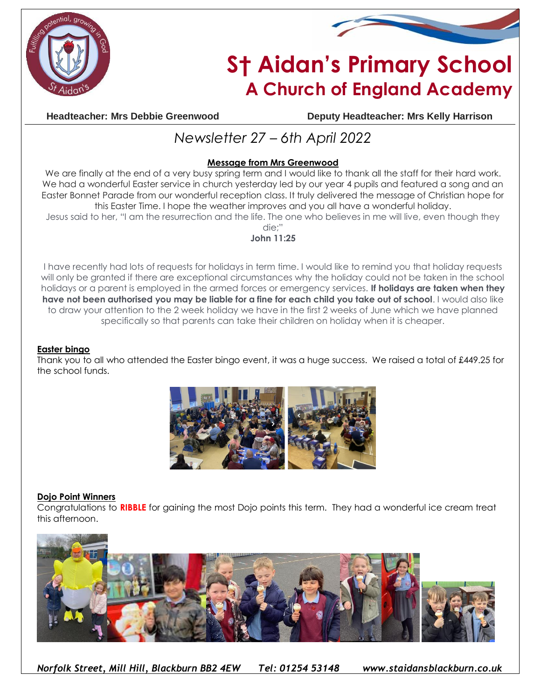



# **S† Aidan's Primary School A Church of England Academy**

**Headteacher: Mrs Debbie Greenwood Deputy Headteacher: Mrs Kelly Harrison**

## *Newsletter 27 – 6th April 2022*

### **Message from Mrs Greenwood**

We are finally at the end of a very busy spring term and I would like to thank all the staff for their hard work. We had a wonderful Easter service in church yesterday led by our year 4 pupils and featured a song and an Easter Bonnet Parade from our wonderful reception class. It truly delivered the message of Christian hope for this Easter Time. I hope the weather improves and you all have a wonderful holiday.

Jesus said to her, "I am the resurrection and the life. The one who believes in me will live, even though they die;"

**John 11:25**

I have recently had lots of requests for holidays in term time. I would like to remind you that holiday requests will only be granted if there are exceptional circumstances why the holiday could not be taken in the school holidays or a parent is employed in the armed forces or emergency services. **If holidays are taken when they have not been authorised you may be liable for a fine for each child you take out of school**. I would also like to draw your attention to the 2 week holiday we have in the first 2 weeks of June which we have planned specifically so that parents can take their children on holiday when it is cheaper.

#### **Easter bingo**

Thank you to all who attended the Easter bingo event, it was a huge success. We raised a total of £449.25 for the school funds.



#### **Dojo Point Winners**

Congratulations to **RIBBLE** for gaining the most Dojo points this term. They had a wonderful ice cream treat this afternoon.



*Norfolk Street, Mill Hill, Blackburn BB2 4EW Tel: 01254 53148 www.staidansblackburn.co.uk*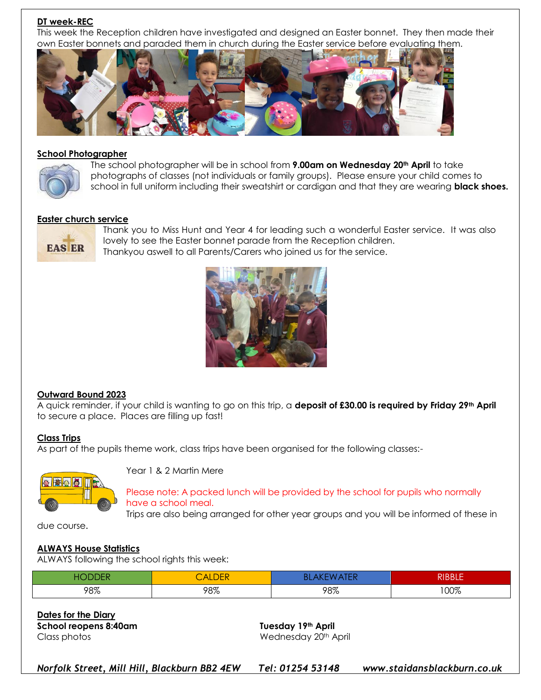#### **DT week-REC**

This week the Reception children have investigated and designed an Easter bonnet. They then made their own Easter bonnets and paraded them in church during the Easter service before evaluating them.



#### **School Photographer**



The school photographer will be in school from **9.00am on Wednesday 20th April** to take photographs of classes (not individuals or family groups). Please ensure your child comes to school in full uniform including their sweatshirt or cardigan and that they are wearing **black shoes.**

#### **Easter church service**



Thank you to Miss Hunt and Year 4 for leading such a wonderful Easter service. It was also lovely to see the Easter bonnet parade from the Reception children. Thankyou aswell to all Parents/Carers who joined us for the service.



#### **Outward Bound 2023**

A quick reminder, if your child is wanting to go on this trip, a **deposit of £30.00 is required by Friday 29th April** to secure a place. Places are filling up fast!

#### **Class Trips**

As part of the pupils theme work, class trips have been organised for the following classes:-



Year 1 & 2 Martin Mere

#### Please note: A packed lunch will be provided by the school for pupils who normally have a school meal.

Trips are also being arranged for other year groups and you will be informed of these in

due course.

#### **ALWAYS House Statistics**

ALWAYS following the school rights this week:

|     | <b>ALDEN</b> | w<br>\I LI\ | <b>DIDDIE</b><br>DDLE |
|-----|--------------|-------------|-----------------------|
| 98% | 98%          | 98%         | 100%                  |

**Dates for the Diary School reopens 8:40am Tuesday 19th April** Class photos Wednesday 20th April

*Norfolk Street, Mill Hill, Blackburn BB2 4EW Tel: 01254 53148 www.staidansblackburn.co.uk*